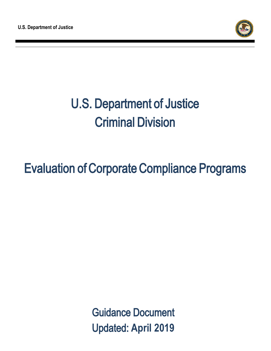

## Evaluation of Corporate Compliance Programs

Guidance Document Updated: **April 2019**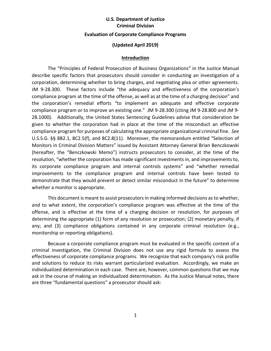## **U.S. Department of Justice Criminal Division Evaluation of Corporate Compliance Programs**

#### **(Updated April 2019)**

#### **Introduction**

The "Principles of Federal Prosecution of Business Organizations" in the Justice Manual describe specific factors that prosecutors should consider in conducting an investigation of a corporation, determining whether to bring charges, and negotiating plea or other agreements. JM 9-28.300. These factors include "the adequacy and effectiveness of the corporation's compliance program at the time of the offense, as well as at the time of a charging decision" and the corporation's remedial efforts "to implement an adequate and effective corporate compliance program or to improve an existing one." JM 9-28.300 (citing JM 9-28.800 and JM 9- 28.1000). Additionally, the United States Sentencing Guidelines advise that consideration be given to whether the corporation had in place at the time of the misconduct an effective compliance program for purposes of calculating the appropriate organizational criminal fine. *See* U.S.S.G. §§ 8B2.1, 8C2.5(f), and 8C2.8(11). Moreover, the memorandum entitled "Selection of Monitors in Criminal Division Matters" issued by Assistant Attorney General Brian Benczkowski (hereafter, the "Benczkowski Memo") instructs prosecutors to consider, at the time of the resolution, "whether the corporation has made significant investments in, and improvements to, its corporate compliance program and internal controls systems" and "whether remedial improvements to the compliance program and internal controls have been tested to demonstrate that they would prevent or detect similar misconduct in the future" to determine whether a monitor is appropriate.

This document is meant to assist prosecutors in making informed decisions as to whether, and to what extent, the corporation's compliance program was effective at the time of the offense, and is effective at the time of a charging decision or resolution, for purposes of determining the appropriate (1) form of any resolution or prosecution; (2) monetary penalty, if any; and (3) compliance obligations contained in any corporate criminal resolution (e.g., monitorship or reporting obligations).

Because a corporate compliance program must be evaluated in the specific context of a criminal investigation, the Criminal Division does not use any rigid formula to assess the effectiveness of corporate compliance programs. We recognize that each company's risk profile and solutions to reduce its risks warrant particularized evaluation. Accordingly, we make an individualized determination in each case. There are, however, common questions that we may ask in the course of making an individualized determination. As the Justice Manual notes, there are three "fundamental questions" a prosecutor should ask: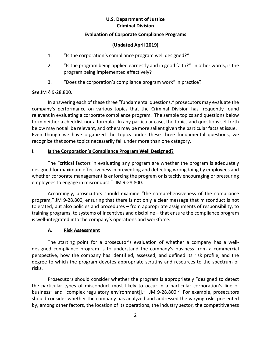## **Evaluation of Corporate Compliance Programs**

## **(Updated April 2019)**

- 1. "Is the corporation's compliance program well designed?"
- 2. "Is the program being applied earnestly and in good faith?" In other words, is the program being implemented effectively?
- 3. "Does the corporation's compliance program work" in practice?

## *See* JM § 9-28.800.

In answering each of these three "fundamental questions," prosecutors may evaluate the company's performance on various topics that the Criminal Division has frequently found relevant in evaluating a corporate compliance program. The sample topics and questions below form neither a checklist nor a formula. In any particular case, the topics and questions set forth below may not all be relevant, and others may be more salient given the particular facts at issue.<sup>[1](#page-17-0)</sup> Even though we have organized the topics under these three fundamental questions, we recognize that some topics necessarily fall under more than one category.

## **I. Is the Corporation's Compliance Program Well Designed?**

The "critical factors in evaluating any program are whether the program is adequately designed for maximum effectiveness in preventing and detecting wrongdoing by employees and whether corporate management is enforcing the program or is tacitly encouraging or pressuring employees to engage in misconduct." JM 9-28.800.

Accordingly, prosecutors should examine "the comprehensiveness of the compliance program," JM 9-28.800, ensuring that there is not only a clear message that misconduct is not tolerated, but also policies and procedures – from appropriate assignments of responsibility, to training programs, to systems of incentives and discipline – that ensure the compliance program is well-integrated into the company's operations and workforce.

## **A. Risk Assessment**

The starting point for a prosecutor's evaluation of whether a company has a welldesigned compliance program is to understand the company's business from a commercial perspective, how the company has identified, assessed, and defined its risk profile, and the degree to which the program devotes appropriate scrutiny and resources to the spectrum of risks.

Prosecutors should consider whether the program is appropriately "designed to detect the particular types of misconduct most likely to occur in a particular corporation's line of business" and "complex regulatory environment[]." JM 9-[2](#page-17-1)8.800.<sup>2</sup> For example, prosecutors should consider whether the company has analyzed and addressed the varying risks presented by, among other factors, the location of its operations, the industry sector, the competitiveness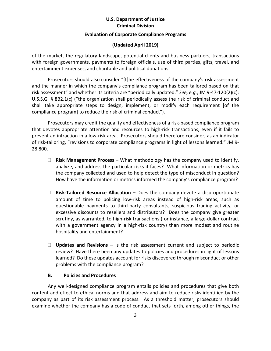#### **Evaluation of Corporate Compliance Programs**

## **(Updated April 2019)**

of the market, the regulatory landscape, potential clients and business partners, transactions with foreign governments, payments to foreign officials, use of third parties, gifts, travel, and entertainment expenses, and charitable and political donations.

Prosecutors should also consider "[t]he effectiveness of the company's risk assessment and the manner in which the company's compliance program has been tailored based on that risk assessment" and whether its criteria are "periodically updated." *See, e.g.*, JM 9-47-120(2)(c); U.S.S.G. § 8B2.1(c) ("the organization shall periodically assess the risk of criminal conduct and shall take appropriate steps to design, implement, or modify each requirement [of the compliance program] to reduce the risk of criminal conduct").

Prosecutors may credit the quality and effectiveness of a risk-based compliance program that devotes appropriate attention and resources to high-risk transactions, even if it fails to prevent an infraction in a low-risk area. Prosecutors should therefore consider, as an indicator of risk-tailoring, "revisions to corporate compliance programs in light of lessons learned." JM 9- 28.800.

- **Risk Management Process** What methodology has the company used to identify, analyze, and address the particular risks it faces? What information or metrics has the company collected and used to help detect the type of misconduct in question? How have the information or metrics informed the company's compliance program?
- **Risk-Tailored Resource Allocation –** Does the company devote a disproportionate amount of time to policing low-risk areas instead of high-risk areas, such as questionable payments to third-party consultants, suspicious trading activity, or excessive discounts to resellers and distributors? Does the company give greater scrutiny, as warranted, to high-risk transactions (for instance, a large-dollar contract with a government agency in a high-risk country) than more modest and routine hospitality and entertainment?
- **Updates and Revisions**  Is the risk assessment current and subject to periodic review? Have there been any updates to policies and procedures in light of lessons learned? Do these updates account for risks discovered through misconduct or other problems with the compliance program?

## **B. Policies and Procedures**

Any well-designed compliance program entails policies and procedures that give both content and effect to ethical norms and that address and aim to reduce risks identified by the company as part of its risk assessment process. As a threshold matter, prosecutors should examine whether the company has a code of conduct that sets forth, among other things, the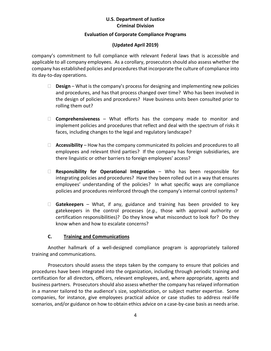#### **Evaluation of Corporate Compliance Programs**

## **(Updated April 2019)**

company's commitment to full compliance with relevant Federal laws that is accessible and applicable to all company employees. As a corollary, prosecutors should also assess whether the company has established policies and procedures that incorporate the culture of compliance into its day-to-day operations.

- **Design** What is the company's process for designing and implementing new policies and procedures, and has that process changed over time? Who has been involved in the design of policies and procedures? Have business units been consulted prior to rolling them out?
- **Comprehensiveness**  What efforts has the company made to monitor and implement policies and procedures that reflect and deal with the spectrum of risks it faces, including changes to the legal and regulatory landscape?
- **Accessibility** How has the company communicated its policies and procedures to all employees and relevant third parties? If the company has foreign subsidiaries, are there linguistic or other barriers to foreign employees' access?
- **Responsibility for Operational Integration** Who has been responsible for integrating policies and procedures? Have they been rolled out in a way that ensures employees' understanding of the policies? In what specific ways are compliance policies and procedures reinforced through the company's internal control systems?
- **Gatekeepers**  What, if any, guidance and training has been provided to key gatekeepers in the control processes (*e.g.*, those with approval authority or certification responsibilities)? Do they know what misconduct to look for? Do they know when and how to escalate concerns?

## **C. Training and Communications**

Another hallmark of a well-designed compliance program is appropriately tailored training and communications.

Prosecutors should assess the steps taken by the company to ensure that policies and procedures have been integrated into the organization, including through periodic training and certification for all directors, officers, relevant employees, and, where appropriate, agents and business partners. Prosecutors should also assess whether the company has relayed information in a manner tailored to the audience's size, sophistication, or subject matter expertise. Some companies, for instance, give employees practical advice or case studies to address real-life scenarios, and/or guidance on how to obtain ethics advice on a case-by-case basis as needs arise.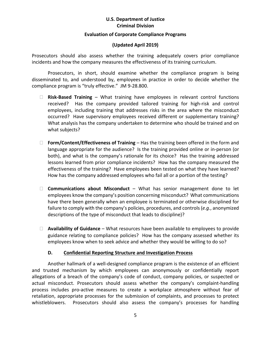#### **Evaluation of Corporate Compliance Programs**

## **(Updated April 2019)**

Prosecutors should also assess whether the training adequately covers prior compliance incidents and how the company measures the effectiveness of its training curriculum.

Prosecutors, in short, should examine whether the compliance program is being disseminated to, and understood by, employees in practice in order to decide whether the compliance program is "truly effective." JM 9-28.800.

- **Risk-Based Training** What training have employees in relevant control functions received? Has the company provided tailored training for high-risk and control employees, including training that addresses risks in the area where the misconduct occurred? Have supervisory employees received different or supplementary training? What analysis has the company undertaken to determine who should be trained and on what subjects?
- **Form/Content/Effectiveness of Training** Has the training been offered in the form and language appropriate for the audience? Is the training provided online or in-person (or both), and what is the company's rationale for its choice? Has the training addressed lessons learned from prior compliance incidents? How has the company measured the effectiveness of the training? Have employees been tested on what they have learned? How has the company addressed employees who fail all or a portion of the testing?
- **Communications about Misconduct** What has senior management done to let employees know the company's position concerning misconduct? What communications have there been generally when an employee is terminated or otherwise disciplined for failure to comply with the company's policies, procedures, and controls (*e.g.*, anonymized descriptions of the type of misconduct that leads to discipline)?
- **Availability of Guidance** What resources have been available to employees to provide guidance relating to compliance policies? How has the company assessed whether its employees know when to seek advice and whether they would be willing to do so?

## **D. Confidential Reporting Structure and Investigation Process**

Another hallmark of a well-designed compliance program is the existence of an efficient and trusted mechanism by which employees can anonymously or confidentially report allegations of a breach of the company's code of conduct, company policies, or suspected or actual misconduct. Prosecutors should assess whether the company's complaint-handling process includes pro-active measures to create a workplace atmosphere without fear of retaliation, appropriate processes for the submission of complaints, and processes to protect whistleblowers. Prosecutors should also assess the company's processes for handling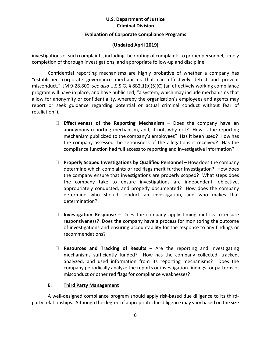#### **Evaluation of Corporate Compliance Programs**

## **(Updated April 2019)**

investigations of such complaints, including the routing of complaints to proper personnel, timely completion of thorough investigations, and appropriate follow-up and discipline.

Confidential reporting mechanisms are highly probative of whether a company has "established corporate governance mechanisms that can effectively detect and prevent misconduct." JM 9-28.800; *see also* U.S.S.G. § 8B2.1(b)(5)(C) (an effectively working compliance program will have in place, and have publicized, "a system, which may include mechanisms that allow for anonymity or confidentiality, whereby the organization's employees and agents may report or seek guidance regarding potential or actual criminal conduct without fear of retaliation").

- **Effectiveness of the Reporting Mechanism** Does the company have an anonymous reporting mechanism, and, if not, why not? How is the reporting mechanism publicized to the company's employees? Has it been used? How has the company assessed the seriousness of the allegations it received? Has the compliance function had full access to reporting and investigative information?
- **Properly Scoped Investigations by Qualified Personnel** How does the company determine which complaints or red flags merit further investigation? How does the company ensure that investigations are properly scoped? What steps does the company take to ensure investigations are independent, objective, appropriately conducted, and properly documented? How does the company determine who should conduct an investigation, and who makes that determination?
- **Investigation Response**  Does the company apply timing metrics to ensure responsiveness? Does the company have a process for monitoring the outcome of investigations and ensuring accountability for the response to any findings or recommendations?
- **Resources and Tracking of Results**  Are the reporting and investigating mechanisms sufficiently funded? How has the company collected, tracked, analyzed, and used information from its reporting mechanisms? Does the company periodically analyze the reports or investigation findings for patterns of misconduct or other red flags for compliance weaknesses?

## **E. Third Party Management**

A well-designed compliance program should apply risk-based due diligence to its thirdparty relationships. Although the degree of appropriate due diligence may vary based on the size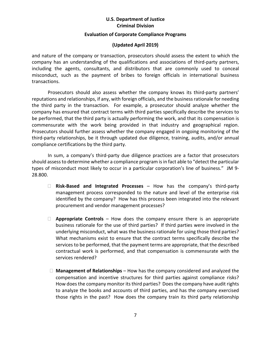#### **Evaluation of Corporate Compliance Programs**

#### **(Updated April 2019)**

and nature of the company or transaction, prosecutors should assess the extent to which the company has an understanding of the qualifications and associations of third-party partners, including the agents, consultants, and distributors that are commonly used to conceal misconduct, such as the payment of bribes to foreign officials in international business transactions.

Prosecutors should also assess whether the company knows its third-party partners' reputations and relationships, if any, with foreign officials, and the business rationale for needing the third party in the transaction. For example, a prosecutor should analyze whether the company has ensured that contract terms with third parties specifically describe the services to be performed, that the third party is actually performing the work, and that its compensation is commensurate with the work being provided in that industry and geographical region. Prosecutors should further assess whether the company engaged in ongoing monitoring of the third-party relationships, be it through updated due diligence, training, audits, and/or annual compliance certifications by the third party.

In sum, a company's third-party due diligence practices are a factor that prosecutors should assess to determine whether a compliance program is in fact able to "detect the particular types of misconduct most likely to occur in a particular corporation's line of business." JM 9- 28.800.

- **Risk-Based and Integrated Processes** How has the company's third-party management process corresponded to the nature and level of the enterprise risk identified by the company? How has this process been integrated into the relevant procurement and vendor management processes?
- **Appropriate Controls**  How does the company ensure there is an appropriate business rationale for the use of third parties? If third parties were involved in the underlying misconduct, what was the business rationale for using those third parties? What mechanisms exist to ensure that the contract terms specifically describe the services to be performed, that the payment terms are appropriate, that the described contractual work is performed, and that compensation is commensurate with the services rendered?
- **Management of Relationships** How has the company considered and analyzed the compensation and incentive structures for third parties against compliance risks? How does the company monitor its third parties? Does the company have audit rights to analyze the books and accounts of third parties, and has the company exercised those rights in the past? How does the company train its third party relationship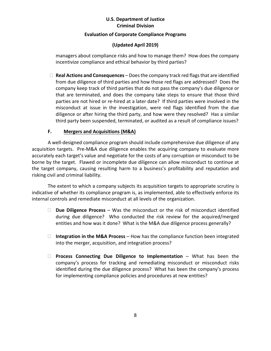#### **Evaluation of Corporate Compliance Programs**

## **(Updated April 2019)**

managers about compliance risks and how to manage them? How does the company incentivize compliance and ethical behavior by third parties?

 **Real Actions and Consequences** – Does the company track red flags that are identified from due diligence of third parties and how those red flags are addressed? Does the company keep track of third parties that do not pass the company's due diligence or that are terminated, and does the company take steps to ensure that those third parties are not hired or re-hired at a later date? If third parties were involved in the misconduct at issue in the investigation, were red flags identified from the due diligence or after hiring the third party, and how were they resolved? Has a similar third party been suspended, terminated, or audited as a result of compliance issues?

## **F. Mergers and Acquisitions (M&A)**

A well-designed compliance program should include comprehensive due diligence of any acquisition targets. Pre-M&A due diligence enables the acquiring company to evaluate more accurately each target's value and negotiate for the costs of any corruption or misconduct to be borne by the target. Flawed or incomplete due diligence can allow misconduct to continue at the target company, causing resulting harm to a business's profitability and reputation and risking civil and criminal liability.

The extent to which a company subjects its acquisition targets to appropriate scrutiny is indicative of whether its compliance program is, as implemented, able to effectively enforce its internal controls and remediate misconduct at all levels of the organization.

- **Due Diligence Process** Was the misconduct or the risk of misconduct identified during due diligence? Who conducted the risk review for the acquired/merged entities and how was it done? What is the M&A due diligence process generally?
- **Integration in the M&A Process** How has the compliance function been integrated into the merger, acquisition, and integration process?
- **Process Connecting Due Diligence to Implementation** What has been the company's process for tracking and remediating misconduct or misconduct risks identified during the due diligence process? What has been the company's process for implementing compliance policies and procedures at new entities?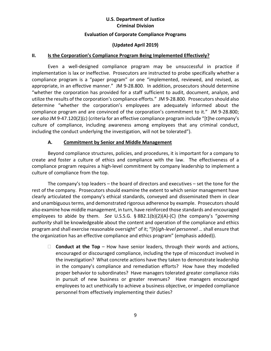#### **Evaluation of Corporate Compliance Programs**

#### **(Updated April 2019)**

#### **II. Is the Corporation's Compliance Program Being Implemented Effectively?**

Even a well-designed compliance program may be unsuccessful in practice if implementation is lax or ineffective. Prosecutors are instructed to probe specifically whether a compliance program is a "paper program" or one "implemented, reviewed, and revised, as appropriate, in an effective manner." JM 9-28.800. In addition, prosecutors should determine "whether the corporation has provided for a staff sufficient to audit, document, analyze, and utilize the results of the corporation's compliance efforts." JM 9-28.800. Prosecutors should also determine "whether the corporation's employees are adequately informed about the compliance program and are convinced of the corporation's commitment to it." JM 9-28.800; *see also* JM 9-47.120(2)(c) (criteria for an effective compliance program include "[t]he company's culture of compliance, including awareness among employees that any criminal conduct, including the conduct underlying the investigation, will not be tolerated").

#### **A. Commitment by Senior and Middle Management**

Beyond compliance structures, policies, and procedures, it is important for a company to create and foster a culture of ethics and compliance with the law. The effectiveness of a compliance program requires a high-level commitment by company leadership to implement a culture of compliance from the top.

The company's top leaders – the board of directors and executives – set the tone for the rest of the company. Prosecutors should examine the extent to which senior management have clearly articulated the company's ethical standards, conveyed and disseminated them in clear and unambiguous terms, and demonstrated rigorous adherence by example. Prosecutors should also examine how middle management, in turn, have reinforced those standards and encouraged employees to abide by them. *See* U.S.S.G. § 8B2.1(b)(2)(A)-(C) (the company's "*governing authority* shall be knowledgeable about the content and operation of the compliance and ethics program and shall exercise reasonable oversight" of it; "[*h*]*igh-level personnel* … shall ensure that the organization has an effective compliance and ethics program" (emphasis added)).

**Conduct at the Top** – How have senior leaders, through their words and actions, encouraged or discouraged compliance, including the type of misconduct involved in the investigation? What concrete actions have they taken to demonstrate leadership in the company's compliance and remediation efforts? How have they modelled proper behavior to subordinates? Have managers tolerated greater compliance risks in pursuit of new business or greater revenues? Have managers encouraged employees to act unethically to achieve a business objective, or impeded compliance personnel from effectively implementing their duties?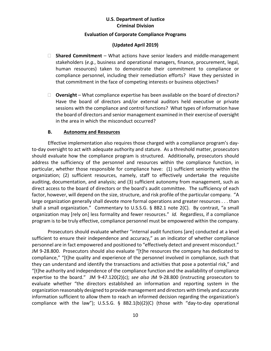#### **Evaluation of Corporate Compliance Programs**

#### **(Updated April 2019)**

- □ **Shared Commitment** What actions have senior leaders and middle-management stakeholders (*e.g.*, business and operational managers, finance, procurement, legal, human resources) taken to demonstrate their commitment to compliance or compliance personnel, including their remediation efforts? Have they persisted in that commitment in the face of competing interests or business objectives?
- □ Oversight What compliance expertise has been available on the board of directors? Have the board of directors and/or external auditors held executive or private sessions with the compliance and control functions? What types of information have the board of directors and senior management examined in their exercise of oversight in the area in which the misconduct occurred?

#### **B. Autonomy and Resources**

Effective implementation also requires those charged with a compliance program's dayto-day oversight to act with adequate authority and stature. As a threshold matter, prosecutors should evaluate how the compliance program is structured. Additionally, prosecutors should address the sufficiency of the personnel and resources within the compliance function, in particular, whether those responsible for compliance have: (1) sufficient seniority within the organization; (2) sufficient resources, namely, staff to effectively undertake the requisite auditing, documentation, and analysis; and (3) sufficient autonomy from management, such as direct access to the board of directors or the board's audit committee. The sufficiency of each factor, however, will depend on the size, structure, and risk profile of the particular company. "A large organization generally shall devote more formal operations and greater resources . . . than shall a small organization." Commentary to U.S.S.G. § 8B2.1 note 2(C). By contrast, "a small organization may [rely on] less formality and fewer resources." *Id.* Regardless, if a compliance program is to be truly effective, compliance personnel must be empowered within the company.

Prosecutors should evaluate whether "internal audit functions [are] conducted at a level sufficient to ensure their independence and accuracy," as an indicator of whether compliance personnel are in fact empowered and positioned to "effectively detect and prevent misconduct." JM 9-28.800. Prosecutors should also evaluate "[t]he resources the company has dedicated to compliance," "[t]he quality and experience of the personnel involved in compliance, such that they can understand and identify the transactions and activities that pose a potential risk," and "[t]he authority and independence of the compliance function and the availability of compliance expertise to the board." JM 9-47.120(2)(c); *see also* JM 9-28.800 (instructing prosecutors to evaluate whether "the directors established an information and reporting system in the organization reasonably designed to provide management and directors with timely and accurate information sufficient to allow them to reach an informed decision regarding the organization's compliance with the law"); U.S.S.G. § 8B2.1(b)(2)(C) (those with "day-to-day operational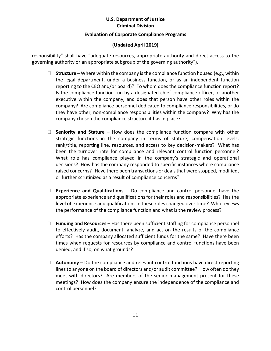#### **Evaluation of Corporate Compliance Programs**

## **(Updated April 2019)**

responsibility" shall have "adequate resources, appropriate authority and direct access to the governing authority or an appropriate subgroup of the governing authority").

- □ **Structure** Where within the company is the compliance function housed (e.g., within the legal department, under a business function, or as an independent function reporting to the CEO and/or board)? To whom does the compliance function report? Is the compliance function run by a designated chief compliance officer, or another executive within the company, and does that person have other roles within the company? Are compliance personnel dedicated to compliance responsibilities, or do they have other, non-compliance responsibilities within the company? Why has the company chosen the compliance structure it has in place?
- **Seniority and Stature** How does the compliance function compare with other strategic functions in the company in terms of stature, compensation levels, rank/title, reporting line, resources, and access to key decision-makers? What has been the turnover rate for compliance and relevant control function personnel? What role has compliance played in the company's strategic and operational decisions? How has the company responded to specific instances where compliance raised concerns? Have there been transactions or deals that were stopped, modified, or further scrutinized as a result of compliance concerns?
- **Experience and Qualifications** Do compliance and control personnel have the appropriate experience and qualifications for their roles and responsibilities? Has the level of experience and qualifications in these roles changed over time? Who reviews the performance of the compliance function and what is the review process?
- **Funding and Resources**  Has there been sufficient staffing for compliance personnel to effectively audit, document, analyze, and act on the results of the compliance efforts? Has the company allocated sufficient funds for the same? Have there been times when requests for resources by compliance and control functions have been denied, and if so, on what grounds?
- **Autonomy** Do the compliance and relevant control functions have direct reporting lines to anyone on the board of directors and/or audit committee? How often do they meet with directors? Are members of the senior management present for these meetings? How does the company ensure the independence of the compliance and control personnel?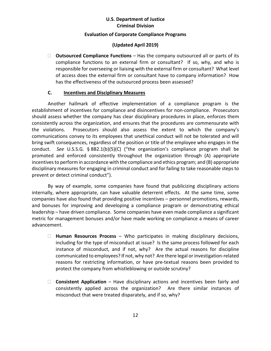#### **Evaluation of Corporate Compliance Programs**

## **(Updated April 2019)**

□ **Outsourced Compliance Functions** – Has the company outsourced all or parts of its compliance functions to an external firm or consultant? If so, why, and who is responsible for overseeing or liaising with the external firm or consultant? What level of access does the external firm or consultant have to company information? How has the effectiveness of the outsourced process been assessed?

## **C. Incentives and Disciplinary Measures**

Another hallmark of effective implementation of a compliance program is the establishment of incentives for compliance and disincentives for non-compliance. Prosecutors should assess whether the company has clear disciplinary procedures in place, enforces them consistently across the organization, and ensures that the procedures are commensurate with the violations. Prosecutors should also assess the extent to which the company's communications convey to its employees that unethical conduct will not be tolerated and will bring swift consequences, regardless of the position or title of the employee who engages in the conduct. *See* U.S.S.G. § 8B2.1(b)(5)(C) ("the organization's compliance program shall be promoted and enforced consistently throughout the organization through (A) appropriate incentives to perform in accordance with the compliance and ethics program; and (B) appropriate disciplinary measures for engaging in criminal conduct and for failing to take reasonable steps to prevent or detect criminal conduct").

By way of example, some companies have found that publicizing disciplinary actions internally, where appropriate, can have valuable deterrent effects. At the same time, some companies have also found that providing positive incentives – personnel promotions, rewards, and bonuses for improving and developing a compliance program or demonstrating ethical leadership – have driven compliance. Some companies have even made compliance a significant metric for management bonuses and/or have made working on compliance a means of career advancement.

- **Human Resources Process**  Who participates in making disciplinary decisions, including for the type of misconduct at issue? Is the same process followed for each instance of misconduct, and if not, why? Are the actual reasons for discipline communicated to employees? If not, why not? Are there legal or investigation-related reasons for restricting information, or have pre-textual reasons been provided to protect the company from whistleblowing or outside scrutiny?
- **Consistent Application**  Have disciplinary actions and incentives been fairly and consistently applied across the organization? Are there similar instances of misconduct that were treated disparately, and if so, why?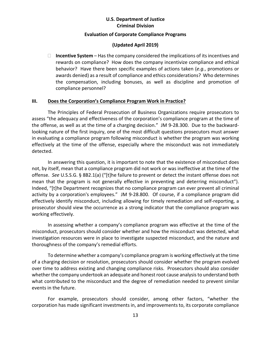#### **Evaluation of Corporate Compliance Programs**

#### **(Updated April 2019)**

 **Incentive System** – Has the company considered the implications of its incentives and rewards on compliance? How does the company incentivize compliance and ethical behavior? Have there been specific examples of actions taken (*e.g.*, promotions or awards denied) as a result of compliance and ethics considerations? Who determines the compensation, including bonuses, as well as discipline and promotion of compliance personnel?

#### **III. Does the Corporation's Compliance Program Work in Practice?**

The Principles of Federal Prosecution of Business Organizations require prosecutors to assess "the adequacy and effectiveness of the corporation's compliance program at the time of the offense, as well as at the time of a charging decision." JM 9-28.300. Due to the backwardlooking nature of the first inquiry, one of the most difficult questions prosecutors must answer in evaluating a compliance program following misconduct is whether the program was working effectively at the time of the offense, especially where the misconduct was not immediately detected.

In answering this question, it is important to note that the existence of misconduct does not, by itself, mean that a compliance program did not work or was ineffective at the time of the offense. *See* U.S.S.G. § 8B2.1(a) ("[t]he failure to prevent or detect the instant offense does not mean that the program is not generally effective in preventing and deterring misconduct"). Indeed, "[t]he Department recognizes that no compliance program can ever prevent all criminal activity by a corporation's employees." JM 9-28.800. Of course, if a compliance program did effectively identify misconduct, including allowing for timely remediation and self-reporting, a prosecutor should view the occurrence as a strong indicator that the compliance program was working effectively.

In assessing whether a company's compliance program was effective at the time of the misconduct, prosecutors should consider whether and how the misconduct was detected, what investigation resources were in place to investigate suspected misconduct, and the nature and thoroughness of the company's remedial efforts.

To determine whether a company's compliance program is working effectively at the time of a charging decision or resolution, prosecutors should consider whether the program evolved over time to address existing and changing compliance risks. Prosecutors should also consider whether the company undertook an adequate and honest root cause analysis to understand both what contributed to the misconduct and the degree of remediation needed to prevent similar events in the future.

For example, prosecutors should consider, among other factors, "whether the corporation has made significant investments in, and improvements to, its corporate compliance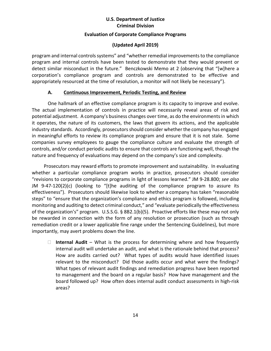#### **Evaluation of Corporate Compliance Programs**

## **(Updated April 2019)**

program and internal controls systems" and "whether remedial improvements to the compliance program and internal controls have been tested to demonstrate that they would prevent or detect similar misconduct in the future." Benczkowski Memo at 2 (observing that "[w]here a corporation's compliance program and controls are demonstrated to be effective and appropriately resourced at the time of resolution, a monitor will not likely be necessary").

## **A. Continuous Improvement, Periodic Testing, and Review**

One hallmark of an effective compliance program is its capacity to improve and evolve. The actual implementation of controls in practice will necessarily reveal areas of risk and potential adjustment. A company's business changes over time, as do the environments in which it operates, the nature of its customers, the laws that govern its actions, and the applicable industry standards. Accordingly, prosecutors should consider whether the company has engaged in meaningful efforts to review its compliance program and ensure that it is not stale. Some companies survey employees to gauge the compliance culture and evaluate the strength of controls, and/or conduct periodic audits to ensure that controls are functioning well, though the nature and frequency of evaluations may depend on the company's size and complexity.

Prosecutors may reward efforts to promote improvement and sustainability. In evaluating whether a particular compliance program works in practice, prosecutors should consider "revisions to corporate compliance programs in light of lessons learned." JM 9-28.800; *see also*  JM 9-47-120(2)(c) (looking to "[t]he auditing of the compliance program to assure its effectiveness"). Prosecutors should likewise look to whether a company has taken "reasonable steps" to "ensure that the organization's compliance and ethics program is followed, including monitoring and auditing to detect criminal conduct," and "evaluate periodically the effectiveness of the organization's" program. U.S.S.G. § 8B2.1(b)(5). Proactive efforts like these may not only be rewarded in connection with the form of any resolution or prosecution (such as through remediation credit or a lower applicable fine range under the Sentencing Guidelines), but more importantly, may avert problems down the line.

□ **Internal Audit** – What is the process for determining where and how frequently internal audit will undertake an audit, and what is the rationale behind that process? How are audits carried out? What types of audits would have identified issues relevant to the misconduct? Did those audits occur and what were the findings? What types of relevant audit findings and remediation progress have been reported to management and the board on a regular basis? How have management and the board followed up? How often does internal audit conduct assessments in high-risk areas?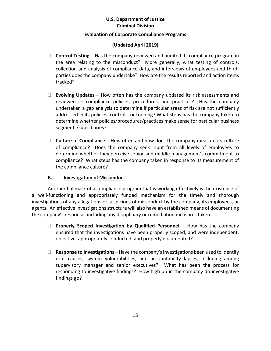## **Evaluation of Corporate Compliance Programs**

## **(Updated April 2019)**

- □ **Control Testing** Has the company reviewed and audited its compliance program in the area relating to the misconduct? More generally, what testing of controls, collection and analysis of compliance data, and interviews of employees and thirdparties does the company undertake? How are the results reported and action items tracked?
- **Evolving Updates** How often has the company updated its risk assessments and reviewed its compliance policies, procedures, and practices? Has the company undertaken a gap analysis to determine if particular areas of risk are not sufficiently addressed in its policies, controls, or training? What steps has the company taken to determine whether policies/procedures/practices make sense for particular business segments/subsidiaries?
- **Culture of Compliance** How often and how does the company measure its culture of compliance? Does the company seek input from all levels of employees to determine whether they perceive senior and middle management's commitment to compliance? What steps has the company taken in response to its measurement of the compliance culture?

## **B. Investigation of Misconduct**

Another hallmark of a compliance program that is working effectively is the existence of a well-functioning and appropriately funded mechanism for the timely and thorough investigations of any allegations or suspicions of misconduct by the company, its employees, or agents. An effective investigations structure will also have an established means of documenting the company's response, including any disciplinary or remediation measures taken.

- **Properly Scoped Investigation by Qualified Personnel** How has the company ensured that the investigations have been properly scoped, and were independent, objective, appropriately conducted, and properly documented?
- **Response to Investigations** Have the company's investigations been used to identify root causes, system vulnerabilities, and accountability lapses, including among supervisory manager and senior executives? What has been the process for responding to investigative findings? How high up in the company do investigative findings go?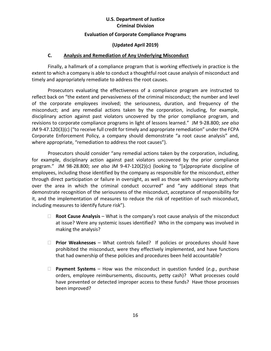## **Evaluation of Corporate Compliance Programs**

## **(Updated April 2019)**

## **C. Analysis and Remediation of Any Underlying Misconduct**

Finally, a hallmark of a compliance program that is working effectively in practice is the extent to which a company is able to conduct a thoughtful root cause analysis of misconduct and timely and appropriately remediate to address the root causes.

Prosecutors evaluating the effectiveness of a compliance program are instructed to reflect back on "the extent and pervasiveness of the criminal misconduct; the number and level of the corporate employees involved; the seriousness, duration, and frequency of the misconduct; and any remedial actions taken by the corporation, including, for example, disciplinary action against past violators uncovered by the prior compliance program, and revisions to corporate compliance programs in light of lessons learned." JM 9-28.800; *see also* JM 9-47.120(3)(c) ("to receive full credit for timely and appropriate remediation" under the FCPA Corporate Enforcement Policy, a company should demonstrate "a root cause analysis" and, where appropriate, "remediation to address the root causes").

Prosecutors should consider "any remedial actions taken by the corporation, including, for example, disciplinary action against past violators uncovered by the prior compliance program." JM 98-28.800; *see also* JM 9-47-120(2)(c) (looking to "[a]ppropriate discipline of employees, including those identified by the company as responsible for the misconduct, either through direct participation or failure in oversight, as well as those with supervisory authority over the area in which the criminal conduct occurred" and "any additional steps that demonstrate recognition of the seriousness of the misconduct, acceptance of responsibility for it, and the implementation of measures to reduce the risk of repetition of such misconduct, including measures to identify future risk").

- **Root Cause Analysis**  What is the company's root cause analysis of the misconduct at issue? Were any systemic issues identified? Who in the company was involved in making the analysis?
- **Prior Weaknesses**  What controls failed? If policies or procedures should have prohibited the misconduct, were they effectively implemented, and have functions that had ownership of these policies and procedures been held accountable?
- **Payment Systems**  How was the misconduct in question funded (*e.g.*, purchase orders, employee reimbursements, discounts, petty cash)? What processes could have prevented or detected improper access to these funds? Have those processes been improved?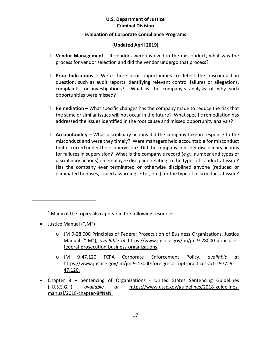#### **Evaluation of Corporate Compliance Programs**

## **(Updated April 2019)**

- **Vendor Management** If vendors were involved in the misconduct, what was the process for vendor selection and did the vendor undergo that process?
- **Prior Indications** Were there prior opportunities to detect the misconduct in question, such as audit reports identifying relevant control failures or allegations, complaints, or investigations? What is the company's analysis of why such opportunities were missed?
- **Remediation** What specific changes has the company made to reduce the risk that the same or similar issues will not occur in the future? What specific remediation has addressed the issues identified in the root cause and missed opportunity analysis?
- **Accountability** What disciplinary actions did the company take in response to the misconduct and were they timely? Were managers held accountable for misconduct that occurred under their supervision? Did the company consider disciplinary actions for failures in supervision? What is the company's record (*e.g.*, number and types of disciplinary actions) on employee discipline relating to the types of conduct at issue? Has the company ever terminated or otherwise disciplined anyone (reduced or eliminated bonuses, issued a warning letter, etc.) for the type of misconduct at issue?

 $1$  Many of the topics also appear in the following resources:

• Justice Manual ("JM")

<span id="page-17-1"></span><span id="page-17-0"></span> $\overline{a}$ 

- o JM 9-28.000 Principles of Federal Prosecution of Business Organizations, [Justice](https://www.justice.gov/usam/usam-9-28000-principles-federal-prosecution-business-organizations)  [Manual](https://www.justice.gov/usam/usam-9-28000-principles-federal-prosecution-business-organizations) ("JM"), *available at* [https://www.justice.gov/jm/jm-9-28000-principles](https://www.justice.gov/jm/jm-9-28000-principles-federal-prosecution-business-organizations)[federal-prosecution-business-organizations.](https://www.justice.gov/jm/jm-9-28000-principles-federal-prosecution-business-organizations)
- o JM 9-47.120 FCPA Corporate Enforcement Policy, *available at*  [https://www.justice.gov/jm/jm-9-47000-foreign-corrupt-practices-act-1977#9-](https://www.justice.gov/jm/jm-9-47000-foreign-corrupt-practices-act-1977#9-47.120) [47.120.](https://www.justice.gov/jm/jm-9-47000-foreign-corrupt-practices-act-1977#9-47.120)
- Chapter 8 Sentencing of Organizations [United States Sentencing Guidelines](http://www.ussc.gov/guidelines-manual/2014/2014-chapter-8) ("U.S.S.G."), *available at* [https://www.ussc.gov/guidelines/2018-guidelines](https://www.ussc.gov/guidelines/2018-guidelines-manual/2018-chapter-8#NaN)[manual/2018-chapter-8#NaN.](https://www.ussc.gov/guidelines/2018-guidelines-manual/2018-chapter-8#NaN)